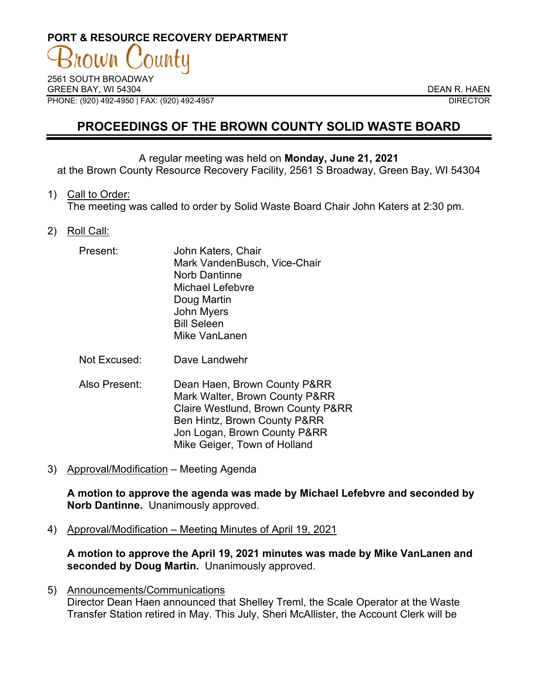# **PORT & RESOURCE RECOVERY DEPARTMENT**

2561 SOUTH BROADWAY GREEN BAY, WI 54304 DEAN R. HAEN PHONE: (920) 492-4950 | FAX: (920) 492-4957 DIRECTOR

# **PROCEEDINGS OF THE BROWN COUNTY SOLID WASTE BOARD**

#### A regular meeting was held on **Monday, June 21, 2021**

at the Brown County Resource Recovery Facility, 2561 S Broadway, Green Bay, WI 54304

#### 1) Call to Order:

The meeting was called to order by Solid Waste Board Chair John Katers at 2:30 pm.

# 2) Roll Call:

| Present: | John Katers, Chair           |
|----------|------------------------------|
|          | Mark VandenBusch, Vice-Chair |
|          | <b>Norb Dantinne</b>         |
|          | <b>Michael Lefebvre</b>      |
|          | Doug Martin                  |
|          | John Myers                   |
|          | <b>Bill Seleen</b>           |
|          | Mike VanLanen                |

Not Excused: Dave Landwehr

- Also Present: Dean Haen, Brown County P&RR Mark Walter, Brown County P&RR Claire Westlund, Brown County P&RR Ben Hintz, Brown County P&RR Jon Logan, Brown County P&RR Mike Geiger, Town of Holland
- 3) Approval/Modification Meeting Agenda

**A motion to approve the agenda was made by Michael Lefebvre and seconded by Norb Dantinne.** Unanimously approved.

4) Approval/Modification – Meeting Minutes of April 19, 2021

**A motion to approve the April 19, 2021 minutes was made by Mike VanLanen and seconded by Doug Martin.** Unanimously approved.

5) Announcements/Communications Director Dean Haen announced that Shelley Treml, the Scale Operator at the Waste Transfer Station retired in May. This July, Sheri McAllister, the Account Clerk will be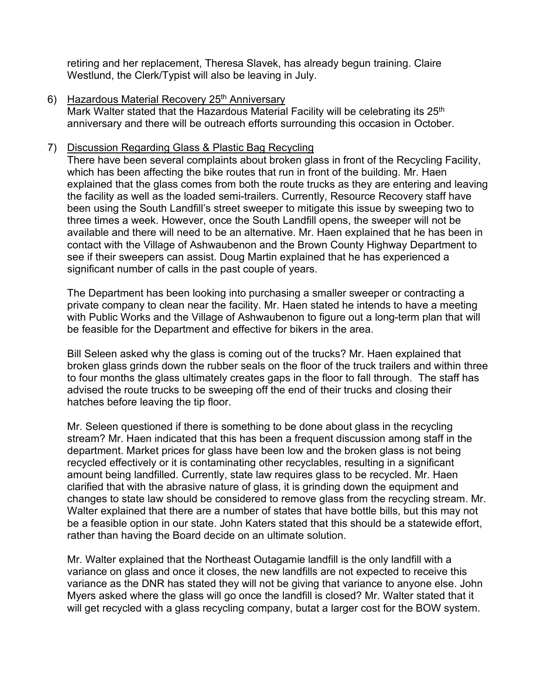retiring and her replacement, Theresa Slavek, has already begun training. Claire Westlund, the Clerk/Typist will also be leaving in July.

6) Hazardous Material Recovery 25<sup>th</sup> Anniversary

Mark Walter stated that the Hazardous Material Facility will be celebrating its 25<sup>th</sup> anniversary and there will be outreach efforts surrounding this occasion in October.

# 7) Discussion Regarding Glass & Plastic Bag Recycling

There have been several complaints about broken glass in front of the Recycling Facility, which has been affecting the bike routes that run in front of the building. Mr. Haen explained that the glass comes from both the route trucks as they are entering and leaving the facility as well as the loaded semi-trailers. Currently, Resource Recovery staff have been using the South Landfill's street sweeper to mitigate this issue by sweeping two to three times a week. However, once the South Landfill opens, the sweeper will not be available and there will need to be an alternative. Mr. Haen explained that he has been in contact with the Village of Ashwaubenon and the Brown County Highway Department to see if their sweepers can assist. Doug Martin explained that he has experienced a significant number of calls in the past couple of years.

The Department has been looking into purchasing a smaller sweeper or contracting a private company to clean near the facility. Mr. Haen stated he intends to have a meeting with Public Works and the Village of Ashwaubenon to figure out a long-term plan that will be feasible for the Department and effective for bikers in the area.

Bill Seleen asked why the glass is coming out of the trucks? Mr. Haen explained that broken glass grinds down the rubber seals on the floor of the truck trailers and within three to four months the glass ultimately creates gaps in the floor to fall through. The staff has advised the route trucks to be sweeping off the end of their trucks and closing their hatches before leaving the tip floor.

Mr. Seleen questioned if there is something to be done about glass in the recycling stream? Mr. Haen indicated that this has been a frequent discussion among staff in the department. Market prices for glass have been low and the broken glass is not being recycled effectively or it is contaminating other recyclables, resulting in a significant amount being landfilled. Currently, state law requires glass to be recycled. Mr. Haen clarified that with the abrasive nature of glass, it is grinding down the equipment and changes to state law should be considered to remove glass from the recycling stream. Mr. Walter explained that there are a number of states that have bottle bills, but this may not be a feasible option in our state. John Katers stated that this should be a statewide effort, rather than having the Board decide on an ultimate solution.

Mr. Walter explained that the Northeast Outagamie landfill is the only landfill with a variance on glass and once it closes, the new landfills are not expected to receive this variance as the DNR has stated they will not be giving that variance to anyone else. John Myers asked where the glass will go once the landfill is closed? Mr. Walter stated that it will get recycled with a glass recycling company, butat a larger cost for the BOW system.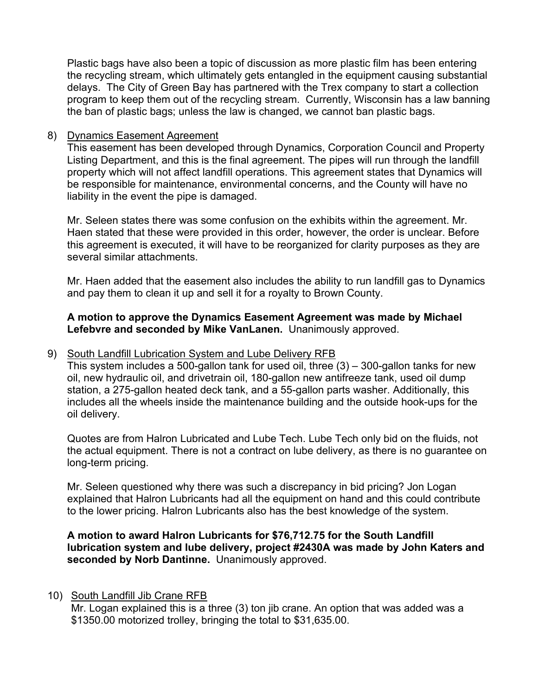Plastic bags have also been a topic of discussion as more plastic film has been entering the recycling stream, which ultimately gets entangled in the equipment causing substantial delays. The City of Green Bay has partnered with the Trex company to start a collection program to keep them out of the recycling stream. Currently, Wisconsin has a law banning the ban of plastic bags; unless the law is changed, we cannot ban plastic bags.

#### 8) Dynamics Easement Agreement

This easement has been developed through Dynamics, Corporation Council and Property Listing Department, and this is the final agreement. The pipes will run through the landfill property which will not affect landfill operations. This agreement states that Dynamics will be responsible for maintenance, environmental concerns, and the County will have no liability in the event the pipe is damaged.

Mr. Seleen states there was some confusion on the exhibits within the agreement. Mr. Haen stated that these were provided in this order, however, the order is unclear. Before this agreement is executed, it will have to be reorganized for clarity purposes as they are several similar attachments.

Mr. Haen added that the easement also includes the ability to run landfill gas to Dynamics and pay them to clean it up and sell it for a royalty to Brown County.

# **A motion to approve the Dynamics Easement Agreement was made by Michael Lefebvre and seconded by Mike VanLanen.** Unanimously approved.

# 9) South Landfill Lubrication System and Lube Delivery RFB

This system includes a 500-gallon tank for used oil, three  $(3) - 300$ -gallon tanks for new oil, new hydraulic oil, and drivetrain oil, 180-gallon new antifreeze tank, used oil dump station, a 275-gallon heated deck tank, and a 55-gallon parts washer. Additionally, this includes all the wheels inside the maintenance building and the outside hook-ups for the oil delivery.

Quotes are from Halron Lubricated and Lube Tech. Lube Tech only bid on the fluids, not the actual equipment. There is not a contract on lube delivery, as there is no guarantee on long-term pricing.

Mr. Seleen questioned why there was such a discrepancy in bid pricing? Jon Logan explained that Halron Lubricants had all the equipment on hand and this could contribute to the lower pricing. Halron Lubricants also has the best knowledge of the system.

**A motion to award Halron Lubricants for \$76,712.75 for the South Landfill lubrication system and lube delivery, project #2430A was made by John Katers and seconded by Norb Dantinne.** Unanimously approved.

# 10) South Landfill Jib Crane RFB

Mr. Logan explained this is a three (3) ton jib crane. An option that was added was a \$1350.00 motorized trolley, bringing the total to \$31,635.00.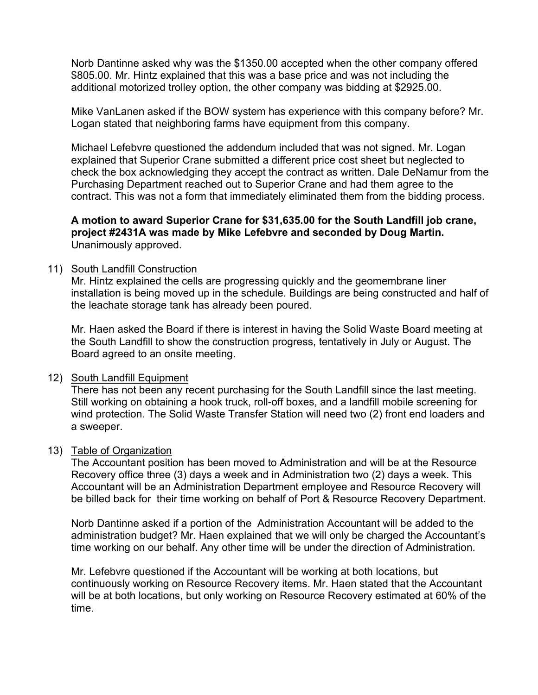Norb Dantinne asked why was the \$1350.00 accepted when the other company offered \$805.00. Mr. Hintz explained that this was a base price and was not including the additional motorized trolley option, the other company was bidding at \$2925.00.

Mike VanLanen asked if the BOW system has experience with this company before? Mr. Logan stated that neighboring farms have equipment from this company.

Michael Lefebvre questioned the addendum included that was not signed. Mr. Logan explained that Superior Crane submitted a different price cost sheet but neglected to check the box acknowledging they accept the contract as written. Dale DeNamur from the Purchasing Department reached out to Superior Crane and had them agree to the contract. This was not a form that immediately eliminated them from the bidding process.

**A motion to award Superior Crane for \$31,635.00 for the South Landfill job crane, project #2431A was made by Mike Lefebvre and seconded by Doug Martin.**  Unanimously approved.

# 11) South Landfill Construction

Mr. Hintz explained the cells are progressing quickly and the geomembrane liner installation is being moved up in the schedule. Buildings are being constructed and half of the leachate storage tank has already been poured.

Mr. Haen asked the Board if there is interest in having the Solid Waste Board meeting at the South Landfill to show the construction progress, tentatively in July or August. The Board agreed to an onsite meeting.

# 12) South Landfill Equipment

There has not been any recent purchasing for the South Landfill since the last meeting. Still working on obtaining a hook truck, roll-off boxes, and a landfill mobile screening for wind protection. The Solid Waste Transfer Station will need two (2) front end loaders and a sweeper.

#### 13) Table of Organization

The Accountant position has been moved to Administration and will be at the Resource Recovery office three (3) days a week and in Administration two (2) days a week. This Accountant will be an Administration Department employee and Resource Recovery will be billed back for their time working on behalf of Port & Resource Recovery Department.

Norb Dantinne asked if a portion of the Administration Accountant will be added to the administration budget? Mr. Haen explained that we will only be charged the Accountant's time working on our behalf. Any other time will be under the direction of Administration.

Mr. Lefebvre questioned if the Accountant will be working at both locations, but continuously working on Resource Recovery items. Mr. Haen stated that the Accountant will be at both locations, but only working on Resource Recovery estimated at 60% of the time.